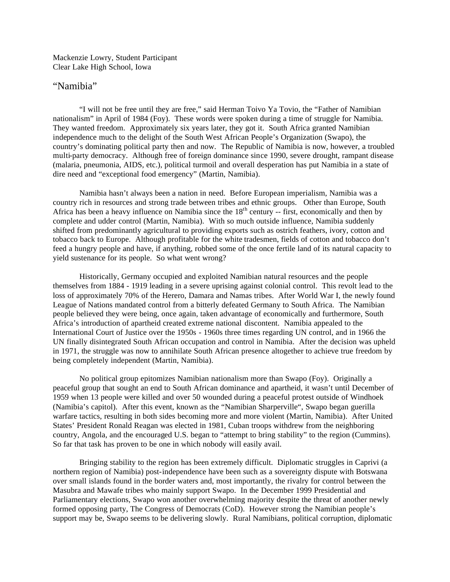Mackenzie Lowry, Student Participant Clear Lake High School, Iowa

## "Namibia"

"I will not be free until they are free," said Herman Toivo Ya Tovio, the "Father of Namibian nationalism" in April of 1984 (Foy). These words were spoken during a time of struggle for Namibia. They wanted freedom. Approximately six years later, they got it. South Africa granted Namibian independence much to the delight of the South West African People's Organization (Swapo), the country's dominating political party then and now. The Republic of Namibia is now, however, a troubled multi-party democracy. Although free of foreign dominance since 1990, severe drought, rampant disease (malaria, pneumonia, AIDS, etc.), political turmoil and overall desperation has put Namibia in a state of dire need and "exceptional food emergency" (Martin, Namibia).

Namibia hasn't always been a nation in need. Before European imperialism, Namibia was a country rich in resources and strong trade between tribes and ethnic groups. Other than Europe, South Africa has been a heavy influence on Namibia since the  $18<sup>th</sup>$  century -- first, economically and then by complete and udder control (Martin, Namibia). With so much outside influence, Namibia suddenly shifted from predominantly agricultural to providing exports such as ostrich feathers, ivory, cotton and tobacco back to Europe. Although profitable for the white tradesmen, fields of cotton and tobacco don't feed a hungry people and have, if anything, robbed some of the once fertile land of its natural capacity to yield sustenance for its people. So what went wrong?

Historically, Germany occupied and exploited Namibian natural resources and the people themselves from 1884 - 1919 leading in a severe uprising against colonial control. This revolt lead to the loss of approximately 70% of the Herero, Damara and Namas tribes. After World War I, the newly found League of Nations mandated control from a bitterly defeated Germany to South Africa. The Namibian people believed they were being, once again, taken advantage of economically and furthermore, South Africa's introduction of apartheid created extreme national discontent. Namibia appealed to the International Court of Justice over the 1950s - 1960s three times regarding UN control, and in 1966 the UN finally disintegrated South African occupation and control in Namibia. After the decision was upheld in 1971, the struggle was now to annihilate South African presence altogether to achieve true freedom by being completely independent (Martin, Namibia).

No political group epitomizes Namibian nationalism more than Swapo (Foy). Originally a peaceful group that sought an end to South African dominance and apartheid, it wasn't until December of 1959 when 13 people were killed and over 50 wounded during a peaceful protest outside of Windhoek (Namibia's capitol). After this event, known as the "Namibian Sharperville", Swapo began guerilla warfare tactics, resulting in both sides becoming more and more violent (Martin, Namibia). After United States' President Ronald Reagan was elected in 1981, Cuban troops withdrew from the neighboring country, Angola, and the encouraged U.S. began to "attempt to bring stability" to the region (Cummins). So far that task has proven to be one in which nobody will easily avail.

Bringing stability to the region has been extremely difficult. Diplomatic struggles in Caprivi (a northern region of Namibia) post-independence have been such as a sovereignty dispute with Botswana over small islands found in the border waters and, most importantly, the rivalry for control between the Masubra and Mawafe tribes who mainly support Swapo. In the December 1999 Presidential and Parliamentary elections, Swapo won another overwhelming majority despite the threat of another newly formed opposing party, The Congress of Democrats (CoD). However strong the Namibian people's support may be, Swapo seems to be delivering slowly. Rural Namibians, political corruption, diplomatic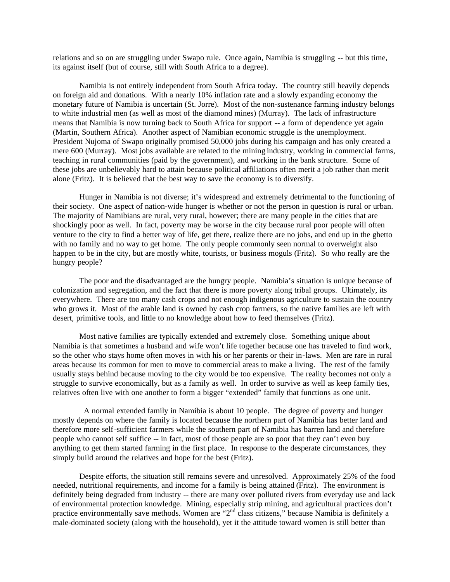relations and so on are struggling under Swapo rule. Once again, Namibia is struggling -- but this time, its against itself (but of course, still with South Africa to a degree).

Namibia is not entirely independent from South Africa today. The country still heavily depends on foreign aid and donations. With a nearly 10% inflation rate and a slowly expanding economy the monetary future of Namibia is uncertain (St. Jorre). Most of the non-sustenance farming industry belongs to white industrial men (as well as most of the diamond mines) (Murray). The lack of infrastructure means that Namibia is now turning back to South Africa for support -- a form of dependence yet again (Martin, Southern Africa). Another aspect of Namibian economic struggle is the unemployment. President Nujoma of Swapo originally promised 50,000 jobs during his campaign and has only created a mere 600 (Murray). Most jobs available are related to the mining industry, working in commercial farms, teaching in rural communities (paid by the government), and working in the bank structure. Some of these jobs are unbelievably hard to attain because political affiliations often merit a job rather than merit alone (Fritz). It is believed that the best way to save the economy is to diversify.

Hunger in Namibia is not diverse; it's widespread and extremely detrimental to the functioning of their society. One aspect of nation-wide hunger is whether or not the person in question is rural or urban. The majority of Namibians are rural, very rural, however; there are many people in the cities that are shockingly poor as well. In fact, poverty may be worse in the city because rural poor people will often venture to the city to find a better way of life, get there, realize there are no jobs, and end up in the ghetto with no family and no way to get home. The only people commonly seen normal to overweight also happen to be in the city, but are mostly white, tourists, or business moguls (Fritz). So who really are the hungry people?

The poor and the disadvantaged are the hungry people. Namibia's situation is unique because of colonization and segregation, and the fact that there is more poverty along tribal groups. Ultimately, its everywhere. There are too many cash crops and not enough indigenous agriculture to sustain the country who grows it. Most of the arable land is owned by cash crop farmers, so the native families are left with desert, primitive tools, and little to no knowledge about how to feed themselves (Fritz).

Most native families are typically extended and extremely close. Something unique about Namibia is that sometimes a husband and wife won't life together because one has traveled to find work, so the other who stays home often moves in with his or her parents or their in-laws. Men are rare in rural areas because its common for men to move to commercial areas to make a living. The rest of the family usually stays behind because moving to the city would be too expensive. The reality becomes not only a struggle to survive economically, but as a family as well. In order to survive as well as keep family ties, relatives often live with one another to form a bigger "extended" family that functions as one unit.

 A normal extended family in Namibia is about 10 people. The degree of poverty and hunger mostly depends on where the family is located because the northern part of Namibia has better land and therefore more self-sufficient farmers while the southern part of Namibia has barren land and therefore people who cannot self suffice -- in fact, most of those people are so poor that they can't even buy anything to get them started farming in the first place. In response to the desperate circumstances, they simply build around the relatives and hope for the best (Fritz).

Despite efforts, the situation still remains severe and unresolved. Approximately 25% of the food needed, nutritional requirements, and income for a family is being attained (Fritz). The environment is definitely being degraded from industry -- there are many over polluted rivers from everyday use and lack of environmental protection knowledge. Mining, especially strip mining, and agricultural practices don't practice environmentally save methods. Women are "2<sup>nd</sup> class citizens," because Namibia is definitely a male-dominated society (along with the household), yet it the attitude toward women is still better than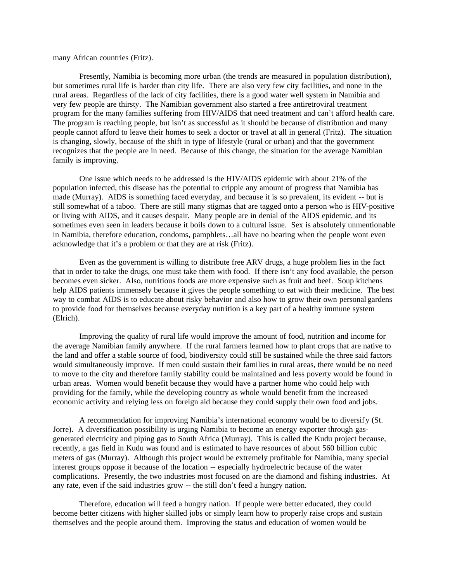## many African countries (Fritz).

Presently, Namibia is becoming more urban (the trends are measured in population distribution), but sometimes rural life is harder than city life. There are also very few city facilities, and none in the rural areas. Regardless of the lack of city facilities, there is a good water well system in Namibia and very few people are thirsty. The Namibian government also started a free antiretroviral treatment program for the many families suffering from HIV/AIDS that need treatment and can't afford health care. The program is reaching people, but isn't as successful as it should be because of distribution and many people cannot afford to leave their homes to seek a doctor or travel at all in general (Fritz). The situation is changing, slowly, because of the shift in type of lifestyle (rural or urban) and that the government recognizes that the people are in need. Because of this change, the situation for the average Namibian family is improving.

One issue which needs to be addressed is the HIV/AIDS epidemic with about 21% of the population infected, this disease has the potential to cripple any amount of progress that Namibia has made (Murray). AIDS is something faced everyday, and because it is so prevalent, its evident -- but is still somewhat of a taboo. There are still many stigmas that are tagged onto a person who is HIV-positive or living with AIDS, and it causes despair. Many people are in denial of the AIDS epidemic, and its sometimes even seen in leaders because it boils down to a cultural issue. Sex is absolutely unmentionable in Namibia, therefore education, condoms, pamphlets…all have no bearing when the people wont even acknowledge that it's a problem or that they are at risk (Fritz).

Even as the government is willing to distribute free ARV drugs, a huge problem lies in the fact that in order to take the drugs, one must take them with food. If there isn't any food available, the person becomes even sicker. Also, nutritious foods are more expensive such as fruit and beef. Soup kitchens help AIDS patients immensely because it gives the people something to eat with their medicine. The best way to combat AIDS is to educate about risky behavior and also how to grow their own personal gardens to provide food for themselves because everyday nutrition is a key part of a healthy immune system (Elrich).

Improving the quality of rural life would improve the amount of food, nutrition and income for the average Namibian family anywhere. If the rural farmers learned how to plant crops that are native to the land and offer a stable source of food, biodiversity could still be sustained while the three said factors would simultaneously improve. If men could sustain their families in rural areas, there would be no need to move to the city and therefore family stability could be maintained and less poverty would be found in urban areas. Women would benefit because they would have a partner home who could help with providing for the family, while the developing country as whole would benefit from the increased economic activity and relying less on foreign aid because they could supply their own food and jobs.

 A recommendation for improving Namibia's international economy would be to diversify (St. Jorre). A diversification possibility is urging Namibia to become an energy exporter through gasgenerated electricity and piping gas to South Africa (Murray). This is called the Kudu project because, recently, a gas field in Kudu was found and is estimated to have resources of about 560 billion cubic meters of gas (Murray). Although this project would be extremely profitable for Namibia, many special interest groups oppose it because of the location -- especially hydroelectric because of the water complications. Presently, the two industries most focused on are the diamond and fishing industries. At any rate, even if the said industries grow -- the still don't feed a hungry nation.

Therefore, education will feed a hungry nation. If people were better educated, they could become better citizens with higher skilled jobs or simply learn how to properly raise crops and sustain themselves and the people around them. Improving the status and education of women would be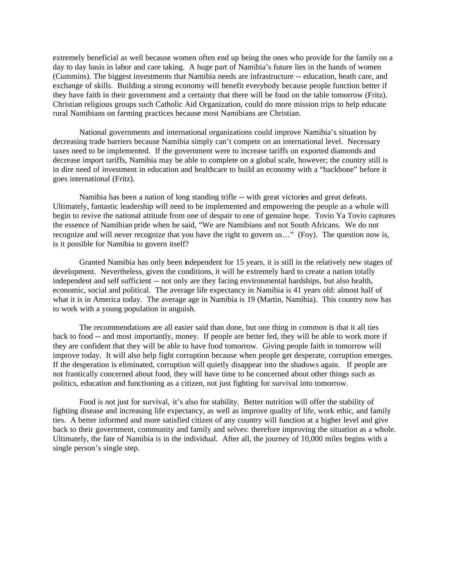extremely beneficial as well because women often end up being the ones who provide for the family on a day to day basis in labor and care taking. A huge part of Namibia's future lies in the hands of women (Cummins). The biggest investments that Namibia needs are infrastructure -- education, heath care, and exchange of skills. Building a strong economy will benefit everybody because people function better if they have faith in their government and a certainty that there will be food on the table tomorrow (Fritz). Christian religious groups such Catholic Aid Organization, could do more mission trips to help educate rural Namibians on farming practices because most Namibians are Christian.

National governments and international organizations could improve Namibia's situation by decreasing trade barriers because Namibia simply can't compete on an international level. Necessary taxes need to be implemented. If the government were to increase tariffs on exported diamonds and decrease import tariffs, Namibia may be able to complete on a global scale, however; the country still is in dire need of investment in education and healthcare to build an economy with a "backbone" before it goes international (Fritz).

Namibia has been a nation of long standing trifle -- with great victories and great defeats. Ultimately, fantastic leadership will need to be implemented and empowering the people as a whole will begin to revive the national attitude from one of despair to one of genuine hope. Tovio Ya Tovio captures the essence of Namibian pride when he said, "We are Namibians and not South Africans. We do not recognize and will never recognize that you have the right to govern us…" (Foy). The question now is, is it possible for Namibia to govern itself?

Granted Namibia has only been independent for 15 years, it is still in the relatively new stages of development. Nevertheless, given the conditions, it will be extremely hard to create a nation totally independent and self sufficient -- not only are they facing environmental hardships, but also health, economic, social and political. The average life expectancy in Namibia is 41 years old: almost half of what it is in America today. The average age in Namibia is 19 (Martin, Namibia). This country now has to work with a young population in anguish.

The recommendations are all easier said than done, but one thing in common is that it all ties back to food -- and most importantly, money. If people are better fed, they will be able to work more if they are confident that they will be able to have food tomorrow. Giving people faith in tomorrow will improve today. It will also help fight corruption because when people get desperate, corruption emerges. If the desperation is eliminated, corruption will quietly disappear into the shadows again. If people are not frantically concerned about food, they will have time to be concerned about other things such as politics, education and functioning as a citizen, not just fighting for survival into tomorrow.

Food is not just for survival, it's also for stability. Better nutrition will offer the stability of fighting disease and increasing life expectancy, as well as improve quality of life, work ethic, and family ties. A better informed and more satisfied citizen of any country will function at a higher level and give back to their government, community and family and selves: therefore improving the situation as a whole. Ultimately, the fate of Namibia is in the individual. After all, the journey of 10,000 miles begins with a single person's single step.